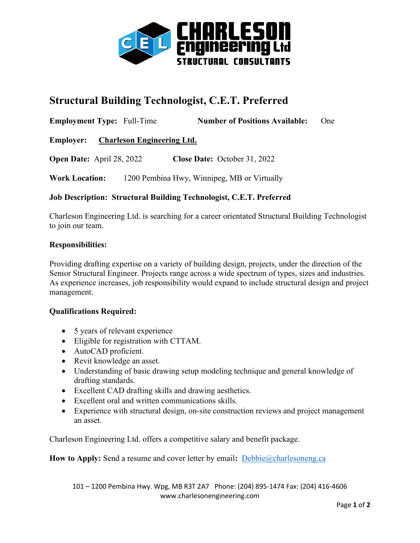

# **Structural Building Technologist, C.E.T. Preferred**

**Employment Type:** Full-Time **Number of Positions Available:** One

**Employer: Charleson Engineering Ltd.**

**Open Date:** April 28, 2022 **Close Date:** October 31, 2022

**Work Location:** 1200 Pembina Hwy, Winnipeg, MB or Virtually

### **Job Description: Structural Building Technologist, C.E.T. Preferred**

Charleson Engineering Ltd. is searching for a career orientated Structural Building Technologist to join our team.

#### **Responsibilities:**

Providing drafting expertise on a variety of building design, projects, under the direction of the Senior Structural Engineer. Projects range across a wide spectrum of types, sizes and industries. As experience increases, job responsibility would expand to include structural design and project management.

#### **Qualifications Required:**

- 5 years of relevant experience
- Eligible for registration with CTTAM.
- AutoCAD proficient.
- Revit knowledge an asset.
- Understanding of basic drawing setup modeling technique and general knowledge of drafting standards.
- Excellent CAD drafting skills and drawing aesthetics.
- Excellent oral and written communications skills.
- Experience with structural design, on-site construction reviews and project management an asset.

Charleson Engineering Ltd. offers a competitive salary and benefit package.

**How to Apply:** Send a resume and cover letter by email**:** [Debbie@charlesoneng.ca](mailto:Debbie@charlesoneng.ca)

101 – 1200 Pembina Hwy. Wpg, MB R3T 2A7 Phone: (204) 895-1474 Fax: (204) 416-4606 www.charlesonengineering.com